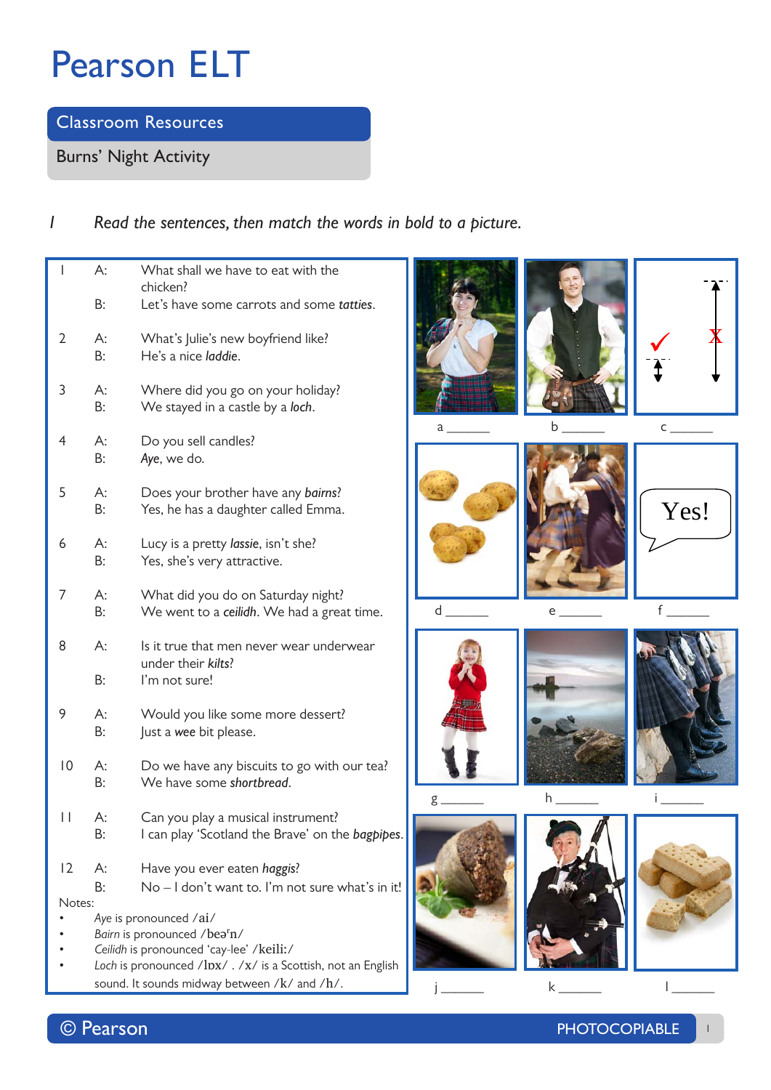**Classroom Resources**

**Burns' Night Activity**

## *1 Read the sentences, then match the words in bold to a picture.*

| I               | А:                                                                                                       | What shall we have to eat with the<br>chicken?                                         |  |  |  |
|-----------------|----------------------------------------------------------------------------------------------------------|----------------------------------------------------------------------------------------|--|--|--|
|                 | B:                                                                                                       | Let's have some carrots and some tatties.                                              |  |  |  |
| 2               | А:<br>В:                                                                                                 | What's Julie's new boyfriend like?<br>He's a nice laddie.                              |  |  |  |
| 3               | А:<br>B:                                                                                                 | Where did you go on your holiday?<br>We stayed in a castle by a loch.                  |  |  |  |
| 4               | А:<br>B:                                                                                                 | Do you sell candles?<br>Aye, we do.                                                    |  |  |  |
| 5               | А:<br>B:                                                                                                 | Does your brother have any bairns?<br>Yes, he has a daughter called Emma.              |  |  |  |
| 6               | А:<br>B:                                                                                                 | Lucy is a pretty lassie, isn't she?<br>Yes, she's very attractive.                     |  |  |  |
| 7               | А:<br>B:                                                                                                 | What did you do on Saturday night?<br>We went to a ceilidh. We had a great time.       |  |  |  |
| 8               | А:                                                                                                       | Is it true that men never wear underwear<br>under their kilts?                         |  |  |  |
|                 | B:                                                                                                       | I'm not sure!                                                                          |  |  |  |
| 9               | А:<br>B:                                                                                                 | Would you like some more dessert?<br>Just a wee bit please.                            |  |  |  |
| $\overline{0}$  | A:<br>B:                                                                                                 | Do we have any biscuits to go with our tea?<br>We have some shortbread.                |  |  |  |
| $\vert \ \vert$ | А:<br>B:                                                                                                 | Can you play a musical instrument?<br>I can play 'Scotland the Brave' on the bagpipes. |  |  |  |
| 2               | А:<br>B:                                                                                                 | Have you ever eaten haggis?<br>No - I don't want to. I'm not sure what's in it!        |  |  |  |
|                 | Notes:                                                                                                   |                                                                                        |  |  |  |
|                 |                                                                                                          | Aye is pronounced /ai/                                                                 |  |  |  |
|                 | Bairn is pronounced /bearn/                                                                              |                                                                                        |  |  |  |
|                 | Ceilidh is pronounced 'cay-lee' /keili:/<br>Loch is pronounced /lpx/ . /x/ is a Scottish, not an English |                                                                                        |  |  |  |
|                 |                                                                                                          |                                                                                        |  |  |  |

sound. It sounds midway between /k/ and /h/.

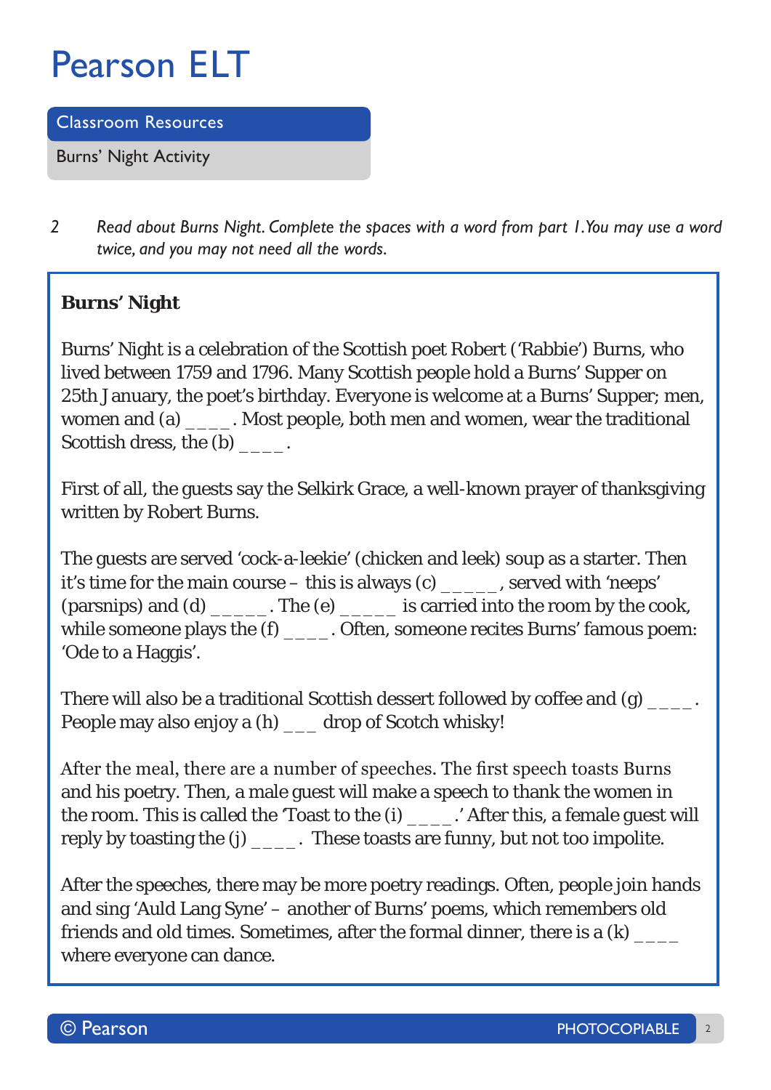**Classroom Resources**

**Burns' Night Activity**

*2 Read about Burns Night. Complete the spaces with a word from part 1. You may use a word twice, and you may not need all the words.* 

## **Burns' Night**

Burns' Night is a celebration of the Scottish poet Robert ('Rabbie') Burns, who lived between 1759 and 1796. Many Scottish people hold a Burns' Supper on 25th January, the poet's birthday. Everyone is welcome at a Burns' Supper; men, women and (a) \_\_\_\_. Most people, both men and women, wear the traditional Scottish dress, the (b)  $\qquad \qquad$ .

First of all, the guests say the Selkirk Grace, a well-known prayer of thanksgiving written by Robert Burns.

The guests are served 'cock-a-leekie' (chicken and leek) soup as a starter. Then it's time for the main course – this is always  $(c)$ , served with 'neeps' (parsnips) and (d) \_\_\_\_\_. The (e) \_\_\_\_\_ is carried into the room by the cook, while someone plays the (f)  $\qquad \qquad$  . Often, someone recites Burns' famous poem: 'Ode to a Haggis'.

There will also be a traditional Scottish dessert followed by coffee and (g) \_\_\_\_\_. People may also enjoy a (h) \_\_\_ drop of Scotch whisky!

After the meal, there are a number of speeches. The first speech toasts Burns and his poetry. Then, a male guest will make a speech to thank the women in the room. This is called the 'Toast to the (i) \_\_\_\_.' After this, a female guest will reply by toasting the (j) \_\_\_\_. These toasts are funny, but not too impolite.

After the speeches, there may be more poetry readings. Often, people join hands and sing 'Auld Lang Syne' – another of Burns' poems, which remembers old friends and old times. Sometimes, after the formal dinner, there is a  $(k)$  \_\_\_\_\_ where everyone can dance.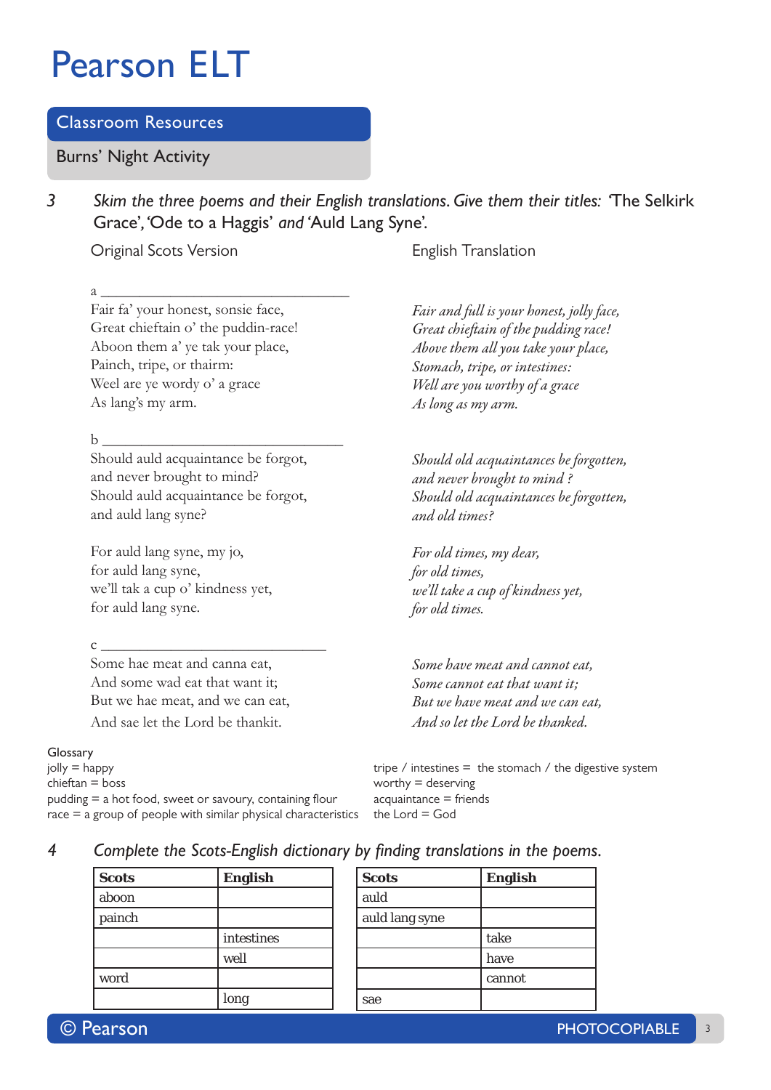### **Classroom Resources**

**Burns' Night Activity**

*3 Skim the three poems and their English translations. Give them their titles: '***The Selkirk Grace'***, '***Ode to a Haggis'** *and '***Auld Lang Syne'.**

### Original Scots Version

Fair fa' your honest, sonsie face, Great chieftain o' the puddin-race! Aboon them a' ye tak your place, Painch, tripe, or thairm: Weel are ye wordy o' a grace As lang's my arm.

b \_\_\_\_\_\_\_\_\_\_\_\_\_\_\_\_\_\_\_\_\_\_\_\_\_\_\_\_\_\_\_

Should auld acquaintance be forgot, and never brought to mind? Should auld acquaintance be forgot, and auld lang syne?

For auld lang syne, my jo, for auld lang syne, we'll tak a cup o' kindness yet, for auld lang syne.

 $c \fbox{1}$ 

Some hae meat and canna eat, And some wad eat that want it; But we hae meat, and we can eat, And sae let the Lord be thankit.

### **Glossary**

jolly = happy tripe / intestines = the stomach / the digestive system chieftan = boss worthy = deserving  $pudding = a hot food, sweet or savoiry, containing flour < acquaintance = friends$  $race = a$  group of people with similar physical characteristics the Lord = God

English Translation

*Fair and full is your honest, jolly face, Great chieftain of the pudding race! Above them all you take your place, Stomach, tripe, or intestines: Well are you worthy of a grace As long as my arm.*

*Should old acquaintances be forgotten, and never brought to mind ? Should old acquaintances be forgotten, and old times?*

*For old times, my dear, for old times, we'll take a cup of kindness yet, for old times.*

*Some have meat and cannot eat, Some cannot eat that want it; But we have meat and we can eat, And so let the Lord be thanked.*

| × |
|---|
|   |
|   |

| 4 |  | Complete the Scots-English dictionary by finding translations in the poems. |  |  |  |  |  |  |
|---|--|-----------------------------------------------------------------------------|--|--|--|--|--|--|
|---|--|-----------------------------------------------------------------------------|--|--|--|--|--|--|

| <b>Scots</b> | <b>English</b> |
|--------------|----------------|
| aboon        |                |
| painch       |                |
|              | intestines     |
|              | well           |
| word         |                |
|              | long           |

| <b>Scots</b>   | <b>English</b> |
|----------------|----------------|
| auld           |                |
| auld lang syne |                |
|                | take           |
|                | have           |
|                | cannot         |
| sae            |                |